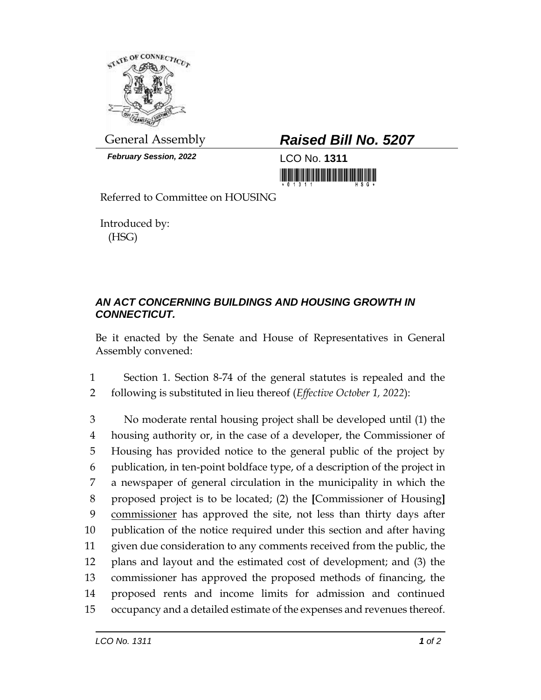

*February Session, 2022* LCO No. **1311**

## General Assembly *Raised Bill No. 5207*

<u> III maratan ing Kabupatèn Ing Kabupatèn Ing Kabupatèn Ing Kabupatèn Ing Kabupatèn Ing Kabupatèn Ing Kabupatèn </u>

Referred to Committee on HOUSING

Introduced by: (HSG)

## *AN ACT CONCERNING BUILDINGS AND HOUSING GROWTH IN CONNECTICUT.*

Be it enacted by the Senate and House of Representatives in General Assembly convened:

1 Section 1. Section 8-74 of the general statutes is repealed and the 2 following is substituted in lieu thereof (*Effective October 1, 2022*):

 No moderate rental housing project shall be developed until (1) the housing authority or, in the case of a developer, the Commissioner of Housing has provided notice to the general public of the project by publication, in ten-point boldface type, of a description of the project in a newspaper of general circulation in the municipality in which the proposed project is to be located; (2) the **[**Commissioner of Housing**]** commissioner has approved the site, not less than thirty days after publication of the notice required under this section and after having given due consideration to any comments received from the public, the plans and layout and the estimated cost of development; and (3) the commissioner has approved the proposed methods of financing, the proposed rents and income limits for admission and continued occupancy and a detailed estimate of the expenses and revenues thereof.